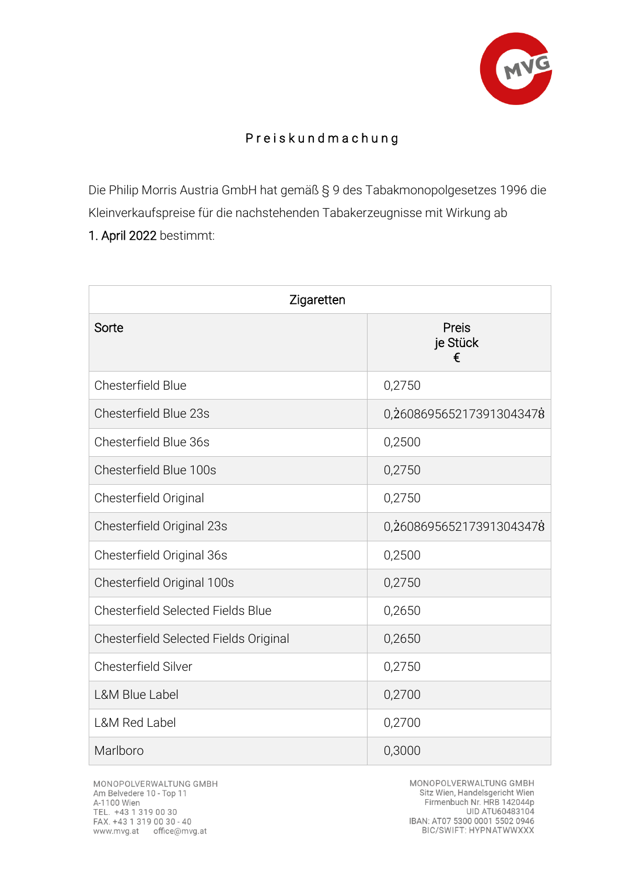

## P r e i s k u n d m a c h u n g

Die Philip Morris Austria GmbH hat gemäß § 9 des Tabakmonopolgesetzes 1996 die Kleinverkaufspreise für die nachstehenden Tabakerzeugnisse mit Wirkung ab 1. April 2022 bestimmt:

| Zigaretten                               |                          |  |
|------------------------------------------|--------------------------|--|
| Sorte                                    | Preis<br>je Stück<br>€   |  |
| Chesterfield Blue                        | 0,2750                   |  |
| Chesterfield Blue 23s                    | 0,2608695652173913043478 |  |
| Chesterfield Blue 36s                    | 0,2500                   |  |
| Chesterfield Blue 100s                   | 0,2750                   |  |
| Chesterfield Original                    | 0,2750                   |  |
| Chesterfield Original 23s                | 0,2608695652173913043478 |  |
| Chesterfield Original 36s                | 0,2500                   |  |
| Chesterfield Original 100s               | 0,2750                   |  |
| <b>Chesterfield Selected Fields Blue</b> | 0,2650                   |  |
| Chesterfield Selected Fields Original    | 0,2650                   |  |
| <b>Chesterfield Silver</b>               | 0,2750                   |  |
| <b>L&amp;M Blue Label</b>                | 0,2700                   |  |
| <b>L&amp;M Red Label</b>                 | 0,2700                   |  |
| Marlboro                                 | 0,3000                   |  |

MONOPOLVERWALTUNG GMBH Am Belvedere 10 - Top 11 A-1100 Wien TEL. +43 1 319 00 30<br>FAX. +43 1 319 00 30 - 40 www.mvg.at office@mvg.at

MONOPOLVERWALTUNG GMBH Sitz Wien, Handelsgericht Wien Firmenbuch Nr. HRB 142044p UID ATU60483104 IBAN: AT07 5300 0001 5502 0946<br>BIC/SWIFT: HYPNATWWXXX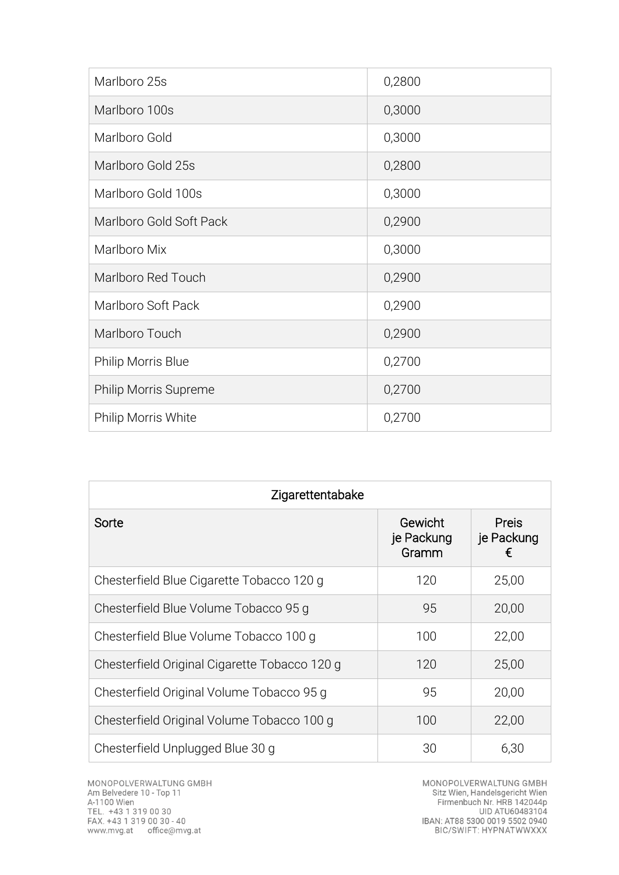| Marlboro 25s            | 0,2800 |
|-------------------------|--------|
| Marlboro 100s           | 0,3000 |
| Marlboro Gold           | 0,3000 |
| Marlboro Gold 25s       | 0,2800 |
| Marlboro Gold 100s      | 0,3000 |
| Marlboro Gold Soft Pack | 0,2900 |
| Marlboro Mix            | 0,3000 |
| Marlboro Red Touch      | 0,2900 |
| Marlboro Soft Pack      | 0,2900 |
| Marlboro Touch          | 0,2900 |
| Philip Morris Blue      | 0,2700 |
| Philip Morris Supreme   | 0,2700 |
| Philip Morris White     | 0,2700 |

| Zigarettentabake                              |                                |                          |  |
|-----------------------------------------------|--------------------------------|--------------------------|--|
| Sorte                                         | Gewicht<br>je Packung<br>Gramm | Preis<br>je Packung<br>€ |  |
| Chesterfield Blue Cigarette Tobacco 120 q     | 120                            | 25,00                    |  |
| Chesterfield Blue Volume Tobacco 95 g         | 95                             | 20,00                    |  |
| Chesterfield Blue Volume Tobacco 100 g        | 100                            | 22,00                    |  |
| Chesterfield Original Cigarette Tobacco 120 g | 120                            | 25,00                    |  |
| Chesterfield Original Volume Tobacco 95 g     | 95                             | 20,00                    |  |
| Chesterfield Original Volume Tobacco 100 g    | 100                            | 22,00                    |  |
| Chesterfield Unplugged Blue 30 g              | 30                             | 6,30                     |  |

MONOPOLVERWALTUNG GMBH<br>Sitz Wien, Handelsgericht Wien<br>Firmenbuch Nr. HRB 142044p<br>UID ATU60483104<br>IBAN: AT88 5300 0019 5502 0940<br>BIC/SWIFT: HYPNATWWXXX